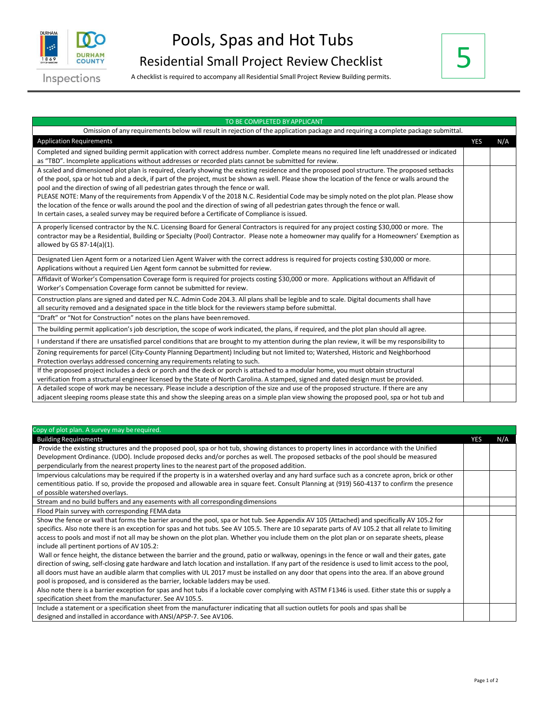

Inspections

A checklist is required to accompany all Residential Small Project Review Building permits.



## TO BE COMPLETED BYAPPLICANT Omission of any requirements below will result in rejection of the application package and requiring a complete package submittal. Application Requirements YES N/A Completed and signed building permit application with correct address number. Complete means no required line left unaddressed or indicated as "TBD". Incomplete applications without addresses or recorded plats cannot be submitted for review. A scaled and dimensioned plot plan is required, clearly showing the existing residence and the proposed pool structure. The proposed setbacks of the pool, spa or hot tub and a deck, if part of the project, must be shown as well. Please show the location of the fence or walls around the pool and the direction of swing of all pedestrian gates through the fence or wall. PLEASE NOTE: Many of the requirements from Appendix V of the 2018 N.C. Residential Code may be simply noted on the plot plan. Please show the location of the fence or walls around the pool and the direction of swing of all pedestrian gates through the fence or wall. In certain cases, a sealed survey may be required before a Certificate of Compliance is issued. A properly licensed contractor by the N.C. Licensing Board for General Contractors is required for any project costing \$30,000 or more. The contractor may be a Residential, Building or Specialty (Pool) Contractor. Please note a homeowner may qualify for a Homeowners' Exemption as allowed by GS 87-14(a)(1). Designated Lien Agent form or a notarized Lien Agent Waiver with the correct address is required for projects costing \$30,000 or more. Applications without a required Lien Agent form cannot be submitted for review. Affidavit of Worker's Compensation Coverage form is required for projects costing \$30,000 or more. Applications without an Affidavit of Worker's Compensation Coverage form cannot be submitted for review. Construction plans are signed and dated per N.C. Admin Code 204.3. All plans shall be legible and to scale. Digital documents shall have all security removed and a designated space in the title block for the reviewers stamp before submittal. "Draft" or "Not for Construction" notes on the plans have beenremoved. The building permit application's job description, the scope of work indicated, the plans, if required, and the plot plan should all agree. I understand if there are unsatisfied parcel conditions that are brought to my attention during the plan review, it will be my responsibility to Zoning requirements for parcel (City-County Planning Department) Including but not limited to; Watershed, Historic and Neighborhood Protection overlays addressed concerning any requirements relating to such. If the proposed project includes a deck or porch and the deck or porch is attached to a modular home, you must obtain structural verification from a structural engineer licensed by the State of North Carolina. A stamped, signed and dated design must be provided. A detailed scope of work may be necessary. Please include a description of the size and use of the proposed structure. If there are any adjacent sleeping rooms please state this and show the sleeping areas on a simple plan view showing the proposed pool, spa or hot tub and

| Copy of plot plan. A survey may be required.                                                                                                          |            |     |
|-------------------------------------------------------------------------------------------------------------------------------------------------------|------------|-----|
| <b>Building Requirements</b>                                                                                                                          | <b>YES</b> | N/A |
| Provide the existing structures and the proposed pool, spa or hot tub, showing distances to property lines in accordance with the Unified             |            |     |
| Development Ordinance. (UDO). Include proposed decks and/or porches as well. The proposed setbacks of the pool should be measured                     |            |     |
| perpendicularly from the nearest property lines to the nearest part of the proposed addition.                                                         |            |     |
| Impervious calculations may be required if the property is in a watershed overlay and any hard surface such as a concrete apron, brick or other       |            |     |
| cementitious patio. If so, provide the proposed and allowable area in square feet. Consult Planning at (919) 560-4137 to confirm the presence         |            |     |
| of possible watershed overlays.                                                                                                                       |            |     |
| Stream and no build buffers and any easements with all corresponding dimensions                                                                       |            |     |
| Flood Plain survey with corresponding FEMA data                                                                                                       |            |     |
| Show the fence or wall that forms the barrier around the pool, spa or hot tub. See Appendix AV 105 (Attached) and specifically AV 105.2 for           |            |     |
| specifics. Also note there is an exception for spas and hot tubs. See AV 105.5. There are 10 separate parts of AV 105.2 that all relate to limiting   |            |     |
| access to pools and most if not all may be shown on the plot plan. Whether you include them on the plot plan or on separate sheets, please            |            |     |
| include all pertinent portions of AV 105.2:                                                                                                           |            |     |
| Wall or fence height, the distance between the barrier and the ground, patio or walkway, openings in the fence or wall and their gates, gate          |            |     |
| direction of swing, self-closing gate hardware and latch location and installation. If any part of the residence is used to limit access to the pool, |            |     |
| all doors must have an audible alarm that complies with UL 2017 must be installed on any door that opens into the area. If an above ground            |            |     |
| pool is proposed, and is considered as the barrier, lockable ladders may be used.                                                                     |            |     |
| Also note there is a barrier exception for spas and hot tubs if a lockable cover complying with ASTM F1346 is used. Either state this or supply a     |            |     |
| specification sheet from the manufacturer. See AV 105.5.                                                                                              |            |     |
| Include a statement or a specification sheet from the manufacturer indicating that all suction outlets for pools and spas shall be                    |            |     |
| designed and installed in accordance with ANSI/APSP-7. See AV106.                                                                                     |            |     |